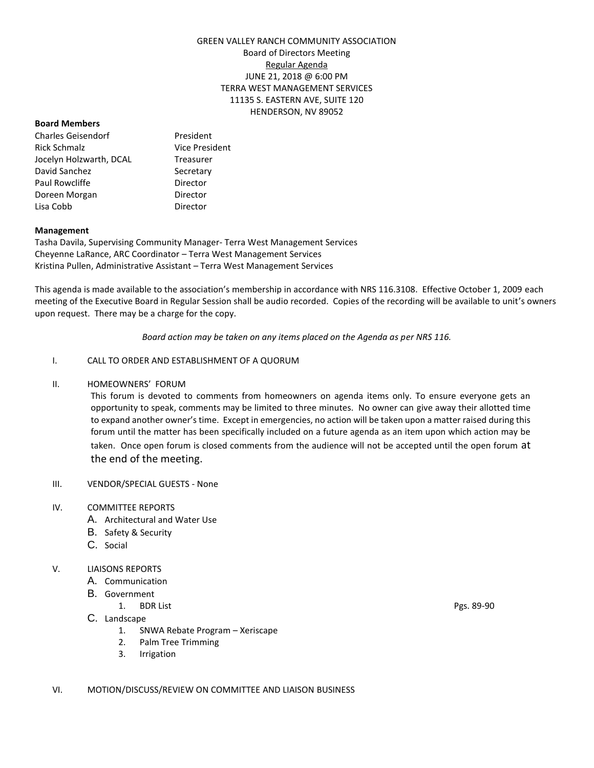## GREEN VALLEY RANCH COMMUNITY ASSOCIATION Board of Directors Meeting Regular Agenda JUNE 21, 2018 @ 6:00 PM TERRA WEST MANAGEMENT SERVICES 11135 S. EASTERN AVE, SUITE 120 HENDERSON, NV 89052

#### **Board Members**

Charles Geisendorf President Rick Schmalz **Vice President** Jocelyn Holzwarth, DCAL Treasurer David Sanchez Secretary Paul Rowcliffe **Director** Doreen Morgan **Director** Lisa Cobb Director

#### **Management**

Tasha Davila, Supervising Community Manager- Terra West Management Services Cheyenne LaRance, ARC Coordinator – Terra West Management Services Kristina Pullen, Administrative Assistant – Terra West Management Services

This agenda is made available to the association's membership in accordance with NRS 116.3108. Effective October 1, 2009 each meeting of the Executive Board in Regular Session shall be audio recorded. Copies of the recording will be available to unit's owners upon request. There may be a charge for the copy.

*Board action may be taken on any items placed on the Agenda as per NRS 116.*

## I. CALL TO ORDER AND ESTABLISHMENT OF A QUORUM

II. HOMEOWNERS' FORUM

This forum is devoted to comments from homeowners on agenda items only. To ensure everyone gets an opportunity to speak, comments may be limited to three minutes. No owner can give away their allotted time to expand another owner's time. Except in emergencies, no action will be taken upon a matter raised during this forum until the matter has been specifically included on a future agenda as an item upon which action may be taken. Once open forum is closed comments from the audience will not be accepted until the open forum at the end of the meeting.

# III. VENDOR/SPECIAL GUESTS - None

#### IV. COMMITTEE REPORTS

- A. Architectural and Water Use
- B. Safety & Security
- C. Social

## V. LIAISONS REPORTS

- A. Communication
- B. Government
	- 1. BDR List Pgs. 89-90
- C. Landscape
	- 1. SNWA Rebate Program Xeriscape
	- 2. Palm Tree Trimming
	- 3. Irrigation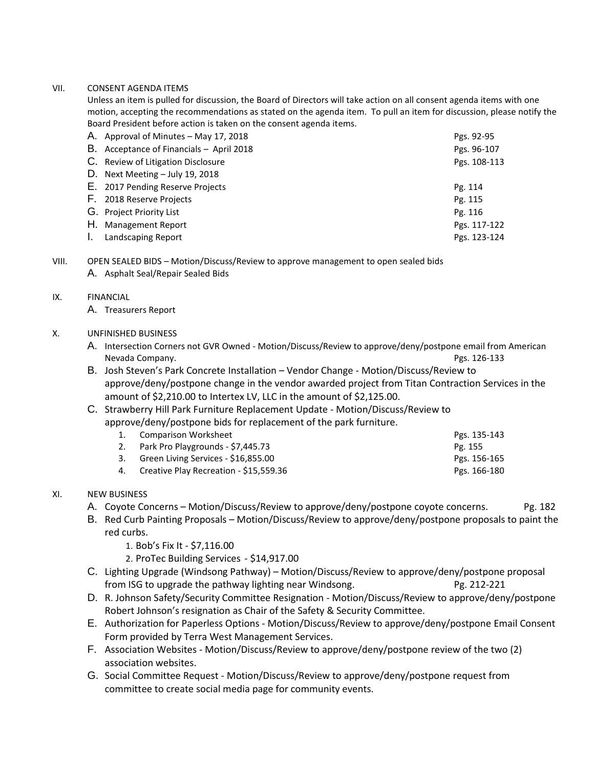## VII. CONSENT AGENDA ITEMS

Unless an item is pulled for discussion, the Board of Directors will take action on all consent agenda items with one motion, accepting the recommendations as stated on the agenda item. To pull an item for discussion, please notify the Board President before action is taken on the consent agenda items.

|    | A. Approval of Minutes - May 17, 2018    | Pgs. 92-95   |
|----|------------------------------------------|--------------|
|    | B. Acceptance of Financials - April 2018 | Pgs. 96-107  |
|    | C. Review of Litigation Disclosure       | Pgs. 108-113 |
|    | D. Next Meeting - July 19, 2018          |              |
|    | E. 2017 Pending Reserve Projects         | Pg. 114      |
|    | F. 2018 Reserve Projects                 | Pg. 115      |
|    | G. Project Priority List                 | Pg. 116      |
|    | H. Management Report                     | Pgs. 117-122 |
| Ι. | Landscaping Report                       | Pgs. 123-124 |

VIII. OPEN SEALED BIDS – Motion/Discuss/Review to approve management to open sealed bids

A. Asphalt Seal/Repair Sealed Bids

## IX. FINANCIAL

A. Treasurers Report

## X. UNFINISHED BUSINESS

- A. Intersection Corners not GVR Owned Motion/Discuss/Review to approve/deny/postpone email from American Nevada Company. Pgs. 126-133
- B. Josh Steven's Park Concrete Installation Vendor Change Motion/Discuss/Review to approve/deny/postpone change in the vendor awarded project from Titan Contraction Services in the amount of \$2,210.00 to Intertex LV, LLC in the amount of \$2,125.00.

# C. Strawberry Hill Park Furniture Replacement Update - Motion/Discuss/Review to approve/deny/postpone bids for replacement of the park furniture.

| 1. Comparison Worksheet                   | Pgs. 135-143 |
|-------------------------------------------|--------------|
| 2. Park Pro Playgrounds - \$7,445.73      | Pg. 155      |
| 3. Green Living Services - \$16,855.00    | Pgs. 156-165 |
| 4. Creative Play Recreation - \$15,559.36 | Pgs. 166-180 |

- XI. NEW BUSINESS
	- A. Coyote Concerns Motion/Discuss/Review to approve/deny/postpone coyote concerns. Pg. 182
	- B. Red Curb Painting Proposals Motion/Discuss/Review to approve/deny/postpone proposals to paint the red curbs.
		- 1. Bob's Fix It \$7,116.00
		- 2. ProTec Building Services \$14,917.00
	- C. Lighting Upgrade (Windsong Pathway) Motion/Discuss/Review to approve/deny/postpone proposal from ISG to upgrade the pathway lighting near Windsong. Pg. 212-221
	- D. R. Johnson Safety/Security Committee Resignation Motion/Discuss/Review to approve/deny/postpone Robert Johnson's resignation as Chair of the Safety & Security Committee.
	- E. Authorization for Paperless Options Motion/Discuss/Review to approve/deny/postpone Email Consent Form provided by Terra West Management Services.
	- F. Association Websites Motion/Discuss/Review to approve/deny/postpone review of the two (2) association websites.
	- G. Social Committee Request Motion/Discuss/Review to approve/deny/postpone request from committee to create social media page for community events.